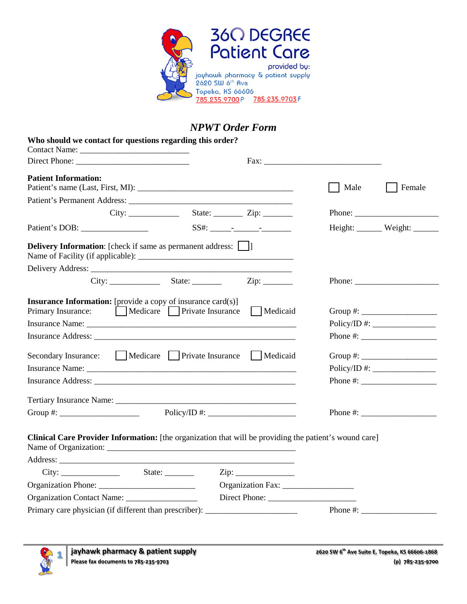

## *NPWT Order Form*

| Who should we contact for questions regarding this order?                                                         |                                          |                                                          |                            |      |                                                                                                                                                                                                                                                                                                                                                                                                                                                                                                                                                                                                                                                                                                                     |
|-------------------------------------------------------------------------------------------------------------------|------------------------------------------|----------------------------------------------------------|----------------------------|------|---------------------------------------------------------------------------------------------------------------------------------------------------------------------------------------------------------------------------------------------------------------------------------------------------------------------------------------------------------------------------------------------------------------------------------------------------------------------------------------------------------------------------------------------------------------------------------------------------------------------------------------------------------------------------------------------------------------------|
|                                                                                                                   |                                          |                                                          |                            |      |                                                                                                                                                                                                                                                                                                                                                                                                                                                                                                                                                                                                                                                                                                                     |
| <b>Patient Information:</b>                                                                                       |                                          |                                                          |                            | Male | $\vert$   Female                                                                                                                                                                                                                                                                                                                                                                                                                                                                                                                                                                                                                                                                                                    |
|                                                                                                                   |                                          |                                                          |                            |      |                                                                                                                                                                                                                                                                                                                                                                                                                                                                                                                                                                                                                                                                                                                     |
|                                                                                                                   |                                          |                                                          |                            |      | Phone: $\frac{1}{\sqrt{1-\frac{1}{2}}\sqrt{1-\frac{1}{2}}\sqrt{1-\frac{1}{2}}\sqrt{1-\frac{1}{2}}\sqrt{1-\frac{1}{2}}\sqrt{1-\frac{1}{2}}\sqrt{1-\frac{1}{2}}\sqrt{1-\frac{1}{2}}\sqrt{1-\frac{1}{2}}\sqrt{1-\frac{1}{2}}\sqrt{1-\frac{1}{2}}\sqrt{1-\frac{1}{2}}\sqrt{1-\frac{1}{2}}\sqrt{1-\frac{1}{2}}\sqrt{1-\frac{1}{2}}\sqrt{1-\frac{1}{2}}\sqrt{1-\frac{1}{2}}\sqrt{1-\frac{1}{2}}\sqrt{1-\frac{1}{2$                                                                                                                                                                                                                                                                                                        |
|                                                                                                                   |                                          |                                                          |                            |      | Height: Weight: _______                                                                                                                                                                                                                                                                                                                                                                                                                                                                                                                                                                                                                                                                                             |
| <b>Delivery Information:</b> [check if same as permanent address:    ]                                            |                                          |                                                          |                            |      |                                                                                                                                                                                                                                                                                                                                                                                                                                                                                                                                                                                                                                                                                                                     |
|                                                                                                                   |                                          |                                                          |                            |      |                                                                                                                                                                                                                                                                                                                                                                                                                                                                                                                                                                                                                                                                                                                     |
|                                                                                                                   |                                          |                                                          | $\overline{\mathrm{Zip:}}$ |      | Phone: $\frac{1}{\sqrt{1-\frac{1}{2}}\sqrt{1-\frac{1}{2}}\sqrt{1-\frac{1}{2}}\sqrt{1-\frac{1}{2}}\sqrt{1-\frac{1}{2}}\sqrt{1-\frac{1}{2}}\sqrt{1-\frac{1}{2}}\sqrt{1-\frac{1}{2}}\sqrt{1-\frac{1}{2}}\sqrt{1-\frac{1}{2}}\sqrt{1-\frac{1}{2}}\sqrt{1-\frac{1}{2}}\sqrt{1-\frac{1}{2}}\sqrt{1-\frac{1}{2}}\sqrt{1-\frac{1}{2}}\sqrt{1-\frac{1}{2}}\sqrt{1-\frac{1}{2}}\sqrt{1-\frac{1}{2}}\sqrt{1-\frac{1}{2$                                                                                                                                                                                                                                                                                                        |
| <b>Insurance Information:</b> [provide a copy of insurance card(s)]<br>Primary Insurance:<br>Secondary Insurance: |                                          | Medicare Private Insurance<br>Medicare Private Insurance | Medicaid<br>  Medicaid     |      | Group #: $\_$<br>Policy/ID #: $\frac{1}{2}$ = $\frac{1}{2}$ = $\frac{1}{2}$ = $\frac{1}{2}$ = $\frac{1}{2}$ = $\frac{1}{2}$ = $\frac{1}{2}$ = $\frac{1}{2}$ = $\frac{1}{2}$ = $\frac{1}{2}$ = $\frac{1}{2}$ = $\frac{1}{2}$ = $\frac{1}{2}$ = $\frac{1}{2}$ = $\frac{1}{2}$ = $\frac{1}{2}$ = $\frac{1}{2}$ = $\frac{$<br>Phone #: $\frac{1}{2}$ = 0.000 m<br>Group #: $\_$<br>Policy/ID #: $\frac{1}{2}$<br>Phone #: $\frac{1}{2}$ = $\frac{1}{2}$ = $\frac{1}{2}$ = $\frac{1}{2}$ = $\frac{1}{2}$ = $\frac{1}{2}$ = $\frac{1}{2}$ = $\frac{1}{2}$ = $\frac{1}{2}$ = $\frac{1}{2}$ = $\frac{1}{2}$ = $\frac{1}{2}$ = $\frac{1}{2}$ = $\frac{1}{2}$ = $\frac{1}{2}$ = $\frac{1}{2}$ = $\frac{1}{2}$ = $\frac{1}{2}$ |
| Group #: $\qquad \qquad \text{Policy/ID } #:$                                                                     |                                          |                                                          |                            |      | Phone $\#$ :                                                                                                                                                                                                                                                                                                                                                                                                                                                                                                                                                                                                                                                                                                        |
| Clinical Care Provider Information: [the organization that will be providing the patient's wound care]            |                                          |                                                          |                            |      |                                                                                                                                                                                                                                                                                                                                                                                                                                                                                                                                                                                                                                                                                                                     |
|                                                                                                                   | State: $\frac{\phantom{1}}{\phantom{1}}$ |                                                          | $\overline{\mathrm{Zip:}}$ |      |                                                                                                                                                                                                                                                                                                                                                                                                                                                                                                                                                                                                                                                                                                                     |
|                                                                                                                   |                                          |                                                          |                            |      |                                                                                                                                                                                                                                                                                                                                                                                                                                                                                                                                                                                                                                                                                                                     |
|                                                                                                                   |                                          |                                                          |                            |      |                                                                                                                                                                                                                                                                                                                                                                                                                                                                                                                                                                                                                                                                                                                     |
| Primary care physician (if different than prescriber): _________________________                                  |                                          |                                                          |                            |      | Phone $\#$ :                                                                                                                                                                                                                                                                                                                                                                                                                                                                                                                                                                                                                                                                                                        |
|                                                                                                                   |                                          |                                                          |                            |      |                                                                                                                                                                                                                                                                                                                                                                                                                                                                                                                                                                                                                                                                                                                     |

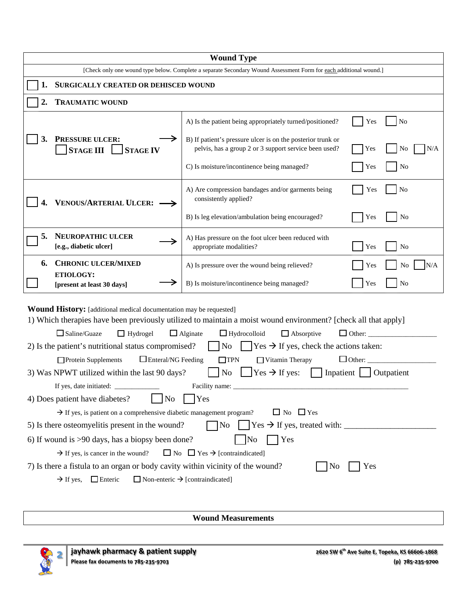|    |                                                               | <b>Wound Type</b>                                                                                                    |            |                |
|----|---------------------------------------------------------------|----------------------------------------------------------------------------------------------------------------------|------------|----------------|
|    |                                                               | [Check only one wound type below. Complete a separate Secondary Wound Assessment Form for each additional wound.]    |            |                |
|    | <b>SURGICALLY CREATED OR DEHISCED WOUND</b>                   |                                                                                                                      |            |                |
|    | <b>TRAUMATIC WOUND</b>                                        |                                                                                                                      |            |                |
|    |                                                               | A) Is the patient being appropriately turned/positioned?                                                             | <b>Yes</b> | No             |
|    | <b>PRESSURE ULCER:</b><br><b>STAGE III</b><br><b>STAGE IV</b> | B) If patient's pressure ulcer is on the posterior trunk or<br>pelvis, has a group 2 or 3 support service been used? | Yes        | N/A            |
|    |                                                               | C) Is moisture/incontinence being managed?                                                                           | Yes        | No             |
|    | VENOUS/ARTERIAL ULCER: ->                                     | A) Are compression bandages and/or garments being<br>consistently applied?                                           | Yes        | N <sub>0</sub> |
|    |                                                               | B) Is leg elevation/ambulation being encouraged?                                                                     | Yes        | N <sub>0</sub> |
| 5. | NEUROPATHIC ULCER<br>[e.g., diabetic ulcer]                   | A) Has pressure on the foot ulcer been reduced with<br>appropriate modalities?                                       | Yes        | N <sub>0</sub> |
| 6. | <b>CHRONIC ULCER/MIXED</b>                                    | A) Is pressure over the wound being relieved?                                                                        | Yes        | N/A<br>No      |
|    | <b>ETIOLOGY:</b><br>[present at least 30 days]                | B) Is moisture/incontinence being managed?                                                                           | Yes        | No             |

## **Wound History:** [additional medical documentation may be requested]

1) Which therapies have been previously utilized to maintain a moist wound environment? [check all that apply]

| $\Box$ Saline/Guaze<br>$\Box$ Hydrogel<br>$\Box$ Alginate<br>$\Box$ Hydrocolloid<br>$\Box$ Absorptive<br>$\Box$ Other:                     |
|--------------------------------------------------------------------------------------------------------------------------------------------|
| $\gamma$ Yes $\rightarrow$ If yes, check the actions taken:<br>No<br>2) Is the patient's nutritional status compromised?                   |
| $\Box$ Enteral/NG Feeding<br>$\Box$ Other: $\_\_$<br>$\Box$ TPN<br>$\Box$ Vitamin Therapy<br>$\Box$ Protein Supplements                    |
| $\Box$ Yes $\rightarrow$ If yes: $\Box$ Inpatient $\Box$ Outpatient<br>$\overline{N_{0}}$<br>3) Was NPWT utilized within the last 90 days? |
| If yes, date initiated:<br>Facility name:                                                                                                  |
| 4) Does patient have diabetes?<br>Yes<br>l No-                                                                                             |
| $\Box$ No $\Box$ Yes<br>$\rightarrow$ If yes, is patient on a comprehensive diabetic management program?                                   |
| 5) Is there osteomyelitis present in the wound? $\Box$ No $\Box$ Yes $\rightarrow$ If yes, treated with:                                   |
| $\overline{\rm No}$<br>6) If wound is $>90$ days, has a biopsy been done?<br>Yes                                                           |
| $\rightarrow$ If yes, is cancer in the wound? $\Box$ No $\Box$ Yes $\rightarrow$ [contraindicated]                                         |
| 7) Is there a fistula to an organ or body cavity within vicinity of the wound?<br>Yes<br>N <sub>0</sub>                                    |
| $\Box$ Non-enteric $\rightarrow$ [contraindicated]<br>$\Box$ Enteric<br>$\rightarrow$ If yes.                                              |

**Wound Measurements**